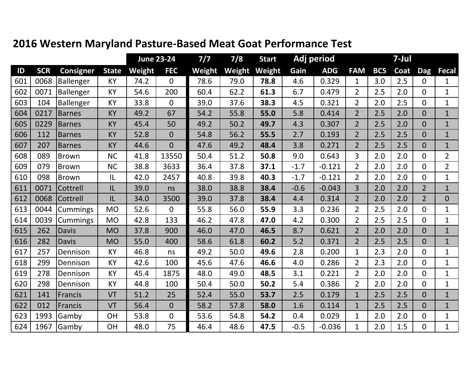|     |            |                  |              |        | <b>June 23-24</b> | $7/7$  | 7/8    | <b>Start</b> | Adj period |            | 7-Jul          |            |      |                |                |
|-----|------------|------------------|--------------|--------|-------------------|--------|--------|--------------|------------|------------|----------------|------------|------|----------------|----------------|
| ID  | <b>SCR</b> | <b>Consigner</b> | <b>State</b> | Weight | <b>FEC</b>        | Weight | Weight | Weight       | Gain       | <b>ADG</b> | <b>FAM</b>     | <b>BCS</b> | Coat | <b>Dag</b>     | <b>Fecal</b>   |
| 601 | 0068       | Ballenger        | KY           | 74.2   | $\overline{0}$    | 78.6   | 79.0   | 78.8         | 4.6        | 0.329      | $\mathbf{1}$   | 3.0        | 2.5  | $\overline{0}$ | $\mathbf 1$    |
| 602 | 0071       | Ballenger        | KY           | 54.6   | 200               | 60.4   | 62.2   | 61.3         | 6.7        | 0.479      | $\overline{2}$ | 2.5        | 2.0  | $\Omega$       | $\mathbf{1}$   |
| 603 | 104        | Ballenger        | KY           | 33.8   | $\overline{0}$    | 39.0   | 37.6   | 38.3         | 4.5        | 0.321      | $\overline{2}$ | 2.0        | 2.5  | $\Omega$       | $\mathbf{1}$   |
| 604 | 0217       | <b>Barnes</b>    | <b>KY</b>    | 49.2   | 67                | 54.2   | 55.8   | 55.0         | 5.8        | 0.414      | $\overline{2}$ | 2.5        | 2.0  | $\overline{0}$ | $\mathbf{1}$   |
| 605 | 0229       | <b>Barnes</b>    | KY           | 45.4   | 50                | 49.2   | 50.2   | 49.7         | 4.3        | 0.307      | $\overline{2}$ | 2.5        | 2.0  | $\Omega$       | $\mathbf{1}$   |
| 606 | 112        | <b>Barnes</b>    | <b>KY</b>    | 52.8   | $\overline{0}$    | 54.8   | 56.2   | 55.5         | 2.7        | 0.193      | $\overline{2}$ | 2.5        | 2.5  | $\overline{0}$ | $\mathbf{1}$   |
| 607 | 207        | <b>Barnes</b>    | KY           | 44.6   | $\overline{0}$    | 47.6   | 49.2   | 48.4         | 3.8        | 0.271      | $\overline{2}$ | 2.5        | 2.5  | $\overline{0}$ | $\mathbf{1}$   |
| 608 | 089        | Brown            | <b>NC</b>    | 41.8   | 13550             | 50.4   | 51.2   | 50.8         | 9.0        | 0.643      | $\overline{3}$ | 2.0        | 2.0  | $\Omega$       | $\overline{2}$ |
| 609 | 079        | Brown            | <b>NC</b>    | 38.8   | 3633              | 36.4   | 37.8   | 37.1         | $-1.7$     | $-0.121$   | $\overline{2}$ | 2.0        | 2.0  | $\Omega$       | $\overline{2}$ |
| 610 | 098        | Brown            | IL           | 42.0   | 2457              | 40.8   | 39.8   | 40.3         | $-1.7$     | $-0.121$   | $\overline{2}$ | 2.0        | 2.0  | $\Omega$       | $\mathbf{1}$   |
| 611 | 0071       | Cottrell         | IL           | 39.0   | ns                | 38.0   | 38.8   | 38.4         | $-0.6$     | $-0.043$   | $\overline{3}$ | 2.0        | 2.0  | $\overline{2}$ | $\mathbf{1}$   |
| 612 | 0068       | Cottrell         | IL           | 34.0   | 3500              | 39.0   | 37.8   | 38.4         | 4.4        | 0.314      | $\overline{2}$ | 2.0        | 2.0  | $\overline{2}$ | $\overline{0}$ |
| 613 | 0044       | <b>Cummings</b>  | <b>MO</b>    | 52.6   | $\overline{0}$    | 55.8   | 56.0   | 55.9         | 3.3        | 0.236      | $\overline{2}$ | 2.5        | 2.0  | $\Omega$       | $\mathbf{1}$   |
| 614 | 0039       | <b>Cummings</b>  | <b>MO</b>    | 42.8   | 133               | 46.2   | 47.8   | 47.0         | 4.2        | 0.300      | $\overline{2}$ | 2.5        | 2.5  | $\Omega$       | $\mathbf{1}$   |
| 615 | 262        | <b>Davis</b>     | <b>MO</b>    | 37.8   | 900               | 46.0   | 47.0   | 46.5         | 8.7        | 0.621      | $\overline{2}$ | 2.0        | 2.0  | $\Omega$       | $\mathbf{1}$   |
| 616 | 282        | <b>Davis</b>     | <b>MO</b>    | 55.0   | 400               | 58.6   | 61.8   | 60.2         | 5.2        | 0.371      | $\overline{2}$ | 2.5        | 2.5  | $\overline{0}$ | $\mathbf{1}$   |
| 617 | 257        | Dennison         | <b>KY</b>    | 46.8   | ns                | 49.2   | 50.0   | 49.6         | 2.8        | 0.200      | $\mathbf{1}$   | 2.3        | 2.0  | $\Omega$       | $\mathbf{1}$   |
| 618 | 299        | Dennison         | <b>KY</b>    | 42.6   | 100               | 45.6   | 47.6   | 46.6         | 4.0        | 0.286      | $\overline{2}$ | 2.3        | 2.0  | $\overline{0}$ | $\mathbf{1}$   |
| 619 | 278        | Dennison         | KY           | 45.4   | 1875              | 48.0   | 49.0   | 48.5         | 3.1        | 0.221      | $\overline{2}$ | 2.0        | 2.0  | $\Omega$       | $\mathbf{1}$   |
| 620 | 298        | Dennison         | <b>KY</b>    | 44.8   | 100               | 50.4   | 50.0   | 50.2         | 5.4        | 0.386      | $\overline{2}$ | 2.0        | 2.0  | $\Omega$       | $\mathbf{1}$   |
| 621 | 141        | Francis          | VT           | 51.2   | 25                | 52.4   | 55.0   | 53.7         | 2.5        | 0.179      | $\mathbf{1}$   | 2.5        | 2.5  | $\overline{0}$ | $\mathbf{1}$   |
| 622 | 012        | Francis          | VT           | 56.4   | $\mathbf{0}$      | 58.2   | 57.8   | 58.0         | 1.6        | 0.114      | $\mathbf{1}$   | 2.5        | 2.5  | $\overline{0}$ | $\mathbf{1}$   |
| 623 | 1993       | Gamby            | OH           | 53.8   | $\mathbf 0$       | 53.6   | 54.8   | 54.2         | 0.4        | 0.029      | $\mathbf{1}$   | 2.0        | 2.0  | $\Omega$       | $\mathbf{1}$   |
| 624 | 1967       | Gamby            | OH           | 48.0   | 75                | 46.4   | 48.6   | 47.5         | $-0.5$     | $-0.036$   | $\mathbf{1}$   | 2.0        | 1.5  | $\overline{0}$ | $\mathbf{1}$   |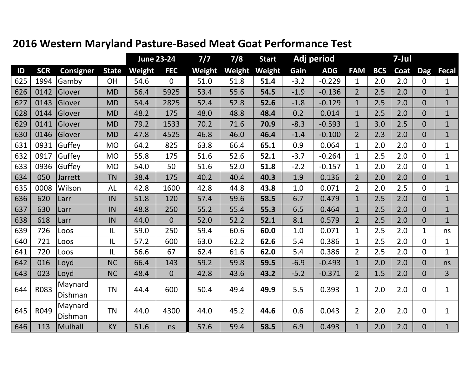|     |            |                    |              |        | <b>June 23-24</b> | 7/7           | 7/8    | <b>Start</b> | Adj period |            | 7-Jul          |            |      |                |                |
|-----|------------|--------------------|--------------|--------|-------------------|---------------|--------|--------------|------------|------------|----------------|------------|------|----------------|----------------|
| ID  | <b>SCR</b> | <b>Consigner</b>   | <b>State</b> | Weight | <b>FEC</b>        | <b>Weight</b> | Weight | Weight       | Gain       | <b>ADG</b> | <b>FAM</b>     | <b>BCS</b> | Coat | <b>Dag</b>     | <b>Fecal</b>   |
| 625 | 1994       | Gamby              | OH           | 54.6   | $\mathbf{0}$      | 51.0          | 51.8   | 51.4         | $-3.2$     | $-0.229$   | $\mathbf{1}$   | 2.0        | 2.0  | $\mathbf{0}$   | $\mathbf{1}$   |
| 626 | 0142       | Glover             | <b>MD</b>    | 56.4   | 5925              | 53.4          | 55.6   | 54.5         | $-1.9$     | $-0.136$   | $\overline{2}$ | 2.5        | 2.0  | $\Omega$       | $\mathbf{1}$   |
| 627 | 0143       | Glover             | <b>MD</b>    | 54.4   | 2825              | 52.4          | 52.8   | 52.6         | $-1.8$     | $-0.129$   | $\mathbf{1}$   | 2.5        | 2.0  | $\Omega$       | $\mathbf{1}$   |
| 628 | 0144       | Glover             | <b>MD</b>    | 48.2   | 175               | 48.0          | 48.8   | 48.4         | 0.2        | 0.014      | $\mathbf{1}$   | 2.5        | 2.0  | $\overline{0}$ | $\mathbf{1}$   |
| 629 | 0141       | Glover             | <b>MD</b>    | 79.2   | 1533              | 70.2          | 71.6   | 70.9         | $-8.3$     | $-0.593$   | $\mathbf{1}$   | 3.0        | 2.5  | $\Omega$       | $\mathbf{1}$   |
| 630 | 0146       | Glover             | <b>MD</b>    | 47.8   | 4525              | 46.8          | 46.0   | 46.4         | $-1.4$     | $-0.100$   | $\overline{2}$ | 2.3        | 2.0  | $\Omega$       | $\mathbf{1}$   |
| 631 | 0931       | Guffey             | <b>MO</b>    | 64.2   | 825               | 63.8          | 66.4   | 65.1         | 0.9        | 0.064      | $\mathbf{1}$   | 2.0        | 2.0  | $\Omega$       | $\mathbf{1}$   |
| 632 | 0917       | Guffey             | <b>MO</b>    | 55.8   | 175               | 51.6          | 52.6   | 52.1         | $-3.7$     | $-0.264$   | $\mathbf{1}$   | 2.5        | 2.0  | $\overline{0}$ | $\mathbf{1}$   |
| 633 | 0936       | Guffey             | <b>MO</b>    | 54.0   | 50                | 51.6          | 52.0   | 51.8         | $-2.2$     | $-0.157$   | $\mathbf 1$    | 2.0        | 2.0  | $\Omega$       | $\mathbf{1}$   |
| 634 | 050        | Jarrett            | <b>TN</b>    | 38.4   | 175               | 40.2          | 40.4   | 40.3         | 1.9        | 0.136      | $\overline{2}$ | 2.0        | 2.0  | $\overline{0}$ | $\mathbf{1}$   |
| 635 | 0008       | Wilson             | <b>AL</b>    | 42.8   | 1600              | 42.8          | 44.8   | 43.8         | 1.0        | 0.071      | $\overline{2}$ | 2.0        | 2.5  | $\overline{0}$ | $\mathbf{1}$   |
| 636 | 620        | Larr               | IN           | 51.8   | 120               | 57.4          | 59.6   | 58.5         | 6.7        | 0.479      | $\mathbf{1}$   | 2.5        | 2.0  | $\overline{0}$ | $\mathbf{1}$   |
| 637 | 630        | Larr               | IN           | 48.8   | 250               | 55.2          | 55.4   | 55.3         | 6.5        | 0.464      | $\mathbf{1}$   | 2.5        | 2.0  | $\Omega$       | $\mathbf{1}$   |
| 638 | 618        | Larr               | IN           | 44.0   | $\overline{0}$    | 52.0          | 52.2   | 52.1         | 8.1        | 0.579      | $\overline{2}$ | 2.5        | 2.0  | $\Omega$       | $\overline{1}$ |
| 639 | 726        | Loos               | L            | 59.0   | 250               | 59.4          | 60.6   | 60.0         | 1.0        | 0.071      | $\mathbf{1}$   | 2.5        | 2.0  | $\mathbf{1}$   | ns             |
| 640 | 721        | Loos               | L            | 57.2   | 600               | 63.0          | 62.2   | 62.6         | 5.4        | 0.386      | 1              | 2.5        | 2.0  | $\mathbf{0}$   | $\mathbf{1}$   |
| 641 | 720        | Loos               | L            | 56.6   | 67                | 62.4          | 61.6   | 62.0         | 5.4        | 0.386      | $\overline{2}$ | 2.5        | 2.0  | $\Omega$       | $\mathbf 1$    |
| 642 | 016        | Loyd               | <b>NC</b>    | 66.4   | 143               | 59.2          | 59.8   | 59.5         | $-6.9$     | $-0.493$   | $\mathbf{1}$   | 2.0        | 2.0  | $\overline{0}$ | ns             |
| 643 | 023        | Loyd               | <b>NC</b>    | 48.4   | $\overline{0}$    | 42.8          | 43.6   | 43.2         | $-5.2$     | $-0.371$   | $\overline{2}$ | 1.5        | 2.0  | $\overline{0}$ | $\overline{3}$ |
| 644 | R083       | Maynard<br>Dishman | <b>TN</b>    | 44.4   | 600               | 50.4          | 49.4   | 49.9         | 5.5        | 0.393      | $\mathbf{1}$   | 2.0        | 2.0  | $\overline{0}$ | $\mathbf{1}$   |
| 645 | R049       | Maynard<br>Dishman | <b>TN</b>    | 44.0   | 4300              | 44.0          | 45.2   | 44.6         | 0.6        | 0.043      | $\overline{2}$ | 2.0        | 2.0  | $\overline{0}$ | $\mathbf{1}$   |
| 646 | 113        | Mulhall            | <b>KY</b>    | 51.6   | ns                | 57.6          | 59.4   | 58.5         | 6.9        | 0.493      | $\mathbf{1}$   | 2.0        | 2.0  | $\overline{0}$ | $\mathbf{1}$   |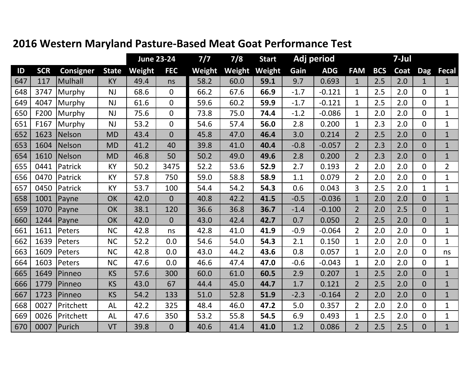|     |            |                  |              |        | <b>June 23-24</b> | 7/7           | 7/8    | <b>Start</b> | Adj period |            | 7-Jul          |            |      |                |                |
|-----|------------|------------------|--------------|--------|-------------------|---------------|--------|--------------|------------|------------|----------------|------------|------|----------------|----------------|
| ID  | <b>SCR</b> | <b>Consigner</b> | <b>State</b> | Weight | <b>FEC</b>        | <b>Weight</b> | Weight | Weight       | Gain       | <b>ADG</b> | <b>FAM</b>     | <b>BCS</b> | Coat | <b>Dag</b>     | <b>Fecal</b>   |
| 647 | 117        | Mulhall          | KY           | 49.4   | ns                | 58.2          | 60.0   | 59.1         | 9.7        | 0.693      | $\mathbf{1}$   | 2.5        | 2.0  |                | $\mathbf{1}$   |
| 648 | 3747       | Murphy           | <b>NJ</b>    | 68.6   | $\mathbf{0}$      | 66.2          | 67.6   | 66.9         | $-1.7$     | $-0.121$   | $\mathbf{1}$   | 2.5        | 2.0  | $\Omega$       | $\mathbf{1}$   |
| 649 | 4047       | Murphy           | <b>NJ</b>    | 61.6   | $\overline{0}$    | 59.6          | 60.2   | 59.9         | $-1.7$     | $-0.121$   | 1              | 2.5        | 2.0  | $\Omega$       | $\mathbf{1}$   |
| 650 | F200       | Murphy           | <b>NJ</b>    | 75.6   | $\overline{0}$    | 73.8          | 75.0   | 74.4         | $-1.2$     | $-0.086$   | 1              | 2.0        | 2.0  | $\Omega$       | $\mathbf{1}$   |
| 651 | F167       | Murphy           | <b>NJ</b>    | 53.2   | $\mathbf 0$       | 54.6          | 57.4   | 56.0         | 2.8        | 0.200      | 1              | 2.3        | 2.0  | $\overline{0}$ | $\mathbf{1}$   |
| 652 | 1623       | Nelson           | <b>MD</b>    | 43.4   | $\overline{0}$    | 45.8          | 47.0   | 46.4         | 3.0        | 0.214      | $\overline{2}$ | 2.5        | 2.0  | $\overline{0}$ | $\mathbf{1}$   |
| 653 | 1604       | Nelson           | <b>MD</b>    | 41.2   | 40                | 39.8          | 41.0   | 40.4         | $-0.8$     | $-0.057$   | $\overline{2}$ | 2.3        | 2.0  | $\Omega$       | $\overline{1}$ |
| 654 | 1610       | Nelson           | <b>MD</b>    | 46.8   | 50                | 50.2          | 49.0   | 49.6         | 2.8        | 0.200      | $\overline{2}$ | 2.3        | 2.0  | $\Omega$       | $\mathbf{1}$   |
| 655 | 0441       | Patrick          | KY           | 50.2   | 3475              | 52.2          | 53.6   | 52.9         | 2.7        | 0.193      | 2              | 2.0        | 2.0  | $\overline{0}$ | $\overline{2}$ |
| 656 | 0470       | Patrick          | KY           | 57.8   | 750               | 59.0          | 58.8   | 58.9         | 1.1        | 0.079      | $\overline{2}$ | 2.0        | 2.0  | $\Omega$       | $\mathbf{1}$   |
| 657 | 0450       | Patrick          | <b>KY</b>    | 53.7   | 100               | 54.4          | 54.2   | 54.3         | 0.6        | 0.043      | 3              | 2.5        | 2.0  | $\mathbf{1}$   | $\mathbf{1}$   |
| 658 | 1001       | Payne            | OK           | 42.0   | $\overline{0}$    | 40.8          | 42.2   | 41.5         | $-0.5$     | $-0.036$   | $\mathbf{1}$   | 2.0        | 2.0  | $\overline{0}$ | $\mathbf{1}$   |
| 659 | 1070       | Payne            | OK           | 38.1   | 120               | 36.6          | 36.8   | 36.7         | $-1.4$     | $-0.100$   | $\overline{2}$ | 2.0        | 2.5  | $\Omega$       | $\mathbf{1}$   |
| 660 | 1244       | Payne            | OK           | 42.0   | $\mathbf 0$       | 43.0          | 42.4   | 42.7         | 0.7        | 0.050      | $\overline{2}$ | 2.5        | 2.0  | $\Omega$       | $\overline{1}$ |
| 661 | 1611       | Peters           | <b>NC</b>    | 42.8   | ns                | 42.8          | 41.0   | 41.9         | $-0.9$     | $-0.064$   | $\overline{2}$ | 2.0        | 2.0  | $\Omega$       | $\mathbf{1}$   |
| 662 | 1639       | Peters           | <b>NC</b>    | 52.2   | 0.0               | 54.6          | 54.0   | 54.3         | 2.1        | 0.150      | $\mathbf{1}$   | 2.0        | 2.0  | $\Omega$       | $\mathbf{1}$   |
| 663 | 1609       | Peters           | <b>NC</b>    | 42.8   | 0.0               | 43.0          | 44.2   | 43.6         | 0.8        | 0.057      | $\mathbf{1}$   | 2.0        | 2.0  | $\Omega$       | ns             |
| 664 | 1603       | Peters           | <b>NC</b>    | 47.6   | 0.0               | 46.6          | 47.4   | 47.0         | $-0.6$     | $-0.043$   | 1              | 2.0        | 2.0  | $\Omega$       | 1              |
| 665 | 1649       | Pinneo           | <b>KS</b>    | 57.6   | 300               | 60.0          | 61.0   | 60.5         | 2.9        | 0.207      | $\mathbf{1}$   | 2.5        | 2.0  | $\overline{0}$ | $\mathbf{1}$   |
| 666 | 1779       | Pinneo           | <b>KS</b>    | 43.0   | 67                | 44.4          | 45.0   | 44.7         | 1.7        | 0.121      | $\overline{2}$ | 2.5        | 2.0  | $\overline{0}$ | $\mathbf{1}$   |
| 667 | 1723       | Pinneo           | <b>KS</b>    | 54.2   | 133               | 51.0          | 52.8   | 51.9         | $-2.3$     | $-0.164$   | $\overline{2}$ | 2.0        | 2.0  | $\Omega$       | $\overline{1}$ |
| 668 | 0027       | Pritchett        | <b>AL</b>    | 42.2   | 325               | 48.4          | 46.0   | 47.2         | 5.0        | 0.357      | $\overline{2}$ | 2.0        | 2.0  | $\Omega$       | $\mathbf{1}$   |
| 669 | 0026       | Pritchett        | <b>AL</b>    | 47.6   | 350               | 53.2          | 55.8   | 54.5         | 6.9        | 0.493      | $\mathbf 1$    | 2.5        | 2.0  | $\mathbf 0$    | $\mathbf{1}$   |
| 670 | 0007       | Purich           | VT           | 39.8   | $\overline{0}$    | 40.6          | 41.4   | 41.0         | 1.2        | 0.086      | $\overline{2}$ | 2.5        | 2.5  | $\overline{0}$ | $\mathbf{1}$   |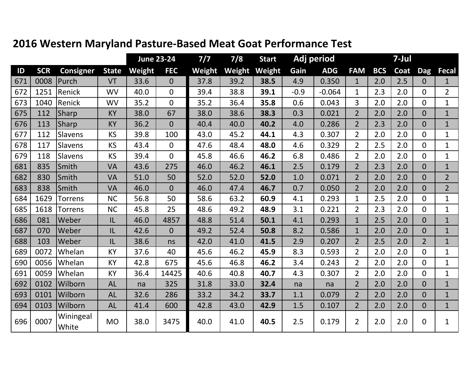|     |            |                    |              |        | <b>June 23-24</b> | $7/7$  | 7/8    | <b>Start</b> | Adj period |            | 7-Jul          |            |      |                |                |
|-----|------------|--------------------|--------------|--------|-------------------|--------|--------|--------------|------------|------------|----------------|------------|------|----------------|----------------|
| ID  | <b>SCR</b> | <b>Consigner</b>   | <b>State</b> | Weight | <b>FEC</b>        | Weight | Weight | Weight       | Gain       | <b>ADG</b> | <b>FAM</b>     | <b>BCS</b> | Coat | <b>Dag</b>     | <b>Fecal</b>   |
| 671 | 0008       | Purch              | VT           | 33.6   | $\overline{0}$    | 37.8   | 39.2   | 38.5         | 4.9        | 0.350      | $\mathbf{1}$   | 2.0        | 2.5  | $\overline{0}$ | $\mathbf{1}$   |
| 672 | 1251       | Renick             | <b>WV</b>    | 40.0   | $\mathbf{0}$      | 39.4   | 38.8   | 39.1         | $-0.9$     | $-0.064$   | $\mathbf{1}$   | 2.3        | 2.0  | $\Omega$       | $\overline{2}$ |
| 673 | 1040       | Renick             | <b>WV</b>    | 35.2   | $\overline{0}$    | 35.2   | 36.4   | 35.8         | 0.6        | 0.043      | $\overline{3}$ | 2.0        | 2.0  | $\Omega$       | $\mathbf{1}$   |
| 675 | 112        | <b>Sharp</b>       | <b>KY</b>    | 38.0   | 67                | 38.0   | 38.6   | 38.3         | 0.3        | 0.021      | $\overline{2}$ | 2.0        | 2.0  | $\Omega$       | $\overline{1}$ |
| 676 | 113        | <b>Sharp</b>       | <b>KY</b>    | 36.2   | $\overline{0}$    | 40.4   | 40.0   | 40.2         | 4.0        | 0.286      | $\overline{2}$ | 2.3        | 2.0  | $\Omega$       | $\mathbf{1}$   |
| 677 | 112        | Slavens            | <b>KS</b>    | 39.8   | 100               | 43.0   | 45.2   | 44.1         | 4.3        | 0.307      | $\overline{2}$ | 2.0        | 2.0  | $\Omega$       | $\mathbf{1}$   |
| 678 | 117        | Slavens            | KS           | 43.4   | $\mathbf{0}$      | 47.6   | 48.4   | 48.0         | 4.6        | 0.329      | $\overline{2}$ | 2.5        | 2.0  | $\Omega$       | $\mathbf{1}$   |
| 679 | 118        | Slavens            | <b>KS</b>    | 39.4   | $\Omega$          | 45.8   | 46.6   | 46.2         | 6.8        | 0.486      | $\overline{2}$ | 2.0        | 2.0  | $\Omega$       | $\mathbf{1}$   |
| 681 | 835        | Smith              | <b>VA</b>    | 43.6   | 275               | 46.0   | 46.2   | 46.1         | 2.5        | 0.179      | $\overline{2}$ | 2.3        | 2.0  | $\Omega$       | $\mathbf{1}$   |
| 682 | 830        | Smith              | <b>VA</b>    | 51.0   | 50                | 52.0   | 52.0   | 52.0         | 1.0        | 0.071      | $\overline{2}$ | 2.0        | 2.0  | $\Omega$       | $\overline{2}$ |
| 683 | 838        | Smith              | <b>VA</b>    | 46.0   | $\overline{0}$    | 46.0   | 47.4   | 46.7         | 0.7        | 0.050      | $\overline{2}$ | 2.0        | 2.0  | $\overline{0}$ | $\overline{2}$ |
| 684 | 1629       | <b>Torrens</b>     | <b>NC</b>    | 56.8   | 50                | 58.6   | 63.2   | 60.9         | 4.1        | 0.293      | $\mathbf{1}$   | 2.5        | 2.0  | $\Omega$       | $\mathbf{1}$   |
| 685 | 1618       | <b>Torrens</b>     | <b>NC</b>    | 45.8   | 25                | 48.6   | 49.2   | 48.9         | 3.1        | 0.221      | $\overline{2}$ | 2.3        | 2.0  | $\Omega$       | $\overline{1}$ |
| 686 | 081        | Weber              | IL           | 46.0   | 4857              | 48.8   | 51.4   | 50.1         | 4.1        | 0.293      | $\mathbf{1}$   | 2.5        | 2.0  | $\Omega$       | $\mathbf{1}$   |
| 687 | 070        | Weber              | IL           | 42.6   | $\overline{0}$    | 49.2   | 52.4   | 50.8         | 8.2        | 0.586      | $\mathbf{1}$   | 2.0        | 2.0  | $\Omega$       | $\mathbf{1}$   |
| 688 | 103        | Weber              | IL           | 38.6   | ns                | 42.0   | 41.0   | 41.5         | 2.9        | 0.207      | $\overline{2}$ | 2.5        | 2.0  | 2 <sup>1</sup> | $\mathbf{1}$   |
| 689 | 0072       | Whelan             | <b>KY</b>    | 37.6   | 40                | 45.6   | 46.2   | 45.9         | 8.3        | 0.593      | $\overline{2}$ | 2.0        | 2.0  | $\Omega$       | $\mathbf{1}$   |
| 690 | 0056       | Whelan             | KY           | 42.8   | 675               | 45.6   | 46.8   | 46.2         | 3.4        | 0.243      | $\overline{2}$ | 2.0        | 2.0  | $\Omega$       | $\mathbf{1}$   |
| 691 | 0059       | Whelan             | KY           | 36.4   | 14425             | 40.6   | 40.8   | 40.7         | 4.3        | 0.307      | $\overline{2}$ | 2.0        | 2.0  | $\Omega$       | $\mathbf{1}$   |
| 692 | 0102       | Wilborn            | <b>AL</b>    | na     | 325               | 31.8   | 33.0   | 32.4         | na         | na         | $\overline{2}$ | 2.0        | 2.0  | $\overline{0}$ | $\mathbf{1}$   |
| 693 | 0101       | Wilborn            | <b>AL</b>    | 32.6   | 286               | 33.2   | 34.2   | 33.7         | 1.1        | 0.079      | $\overline{2}$ | 2.0        | 2.0  | $\overline{0}$ | $\mathbf{1}$   |
| 694 | 0103       | Wilborn            | <b>AL</b>    | 41.4   | 600               | 42.8   | 43.0   | 42.9         | 1.5        | 0.107      | $\overline{2}$ | 2.0        | 2.0  | $\Omega$       | $\overline{1}$ |
| 696 | 0007       | Winingeal<br>White | <b>MO</b>    | 38.0   | 3475              | 40.0   | 41.0   | 40.5         | 2.5        | 0.179      | $\overline{2}$ | 2.0        | 2.0  | $\Omega$       | $\mathbf{1}$   |